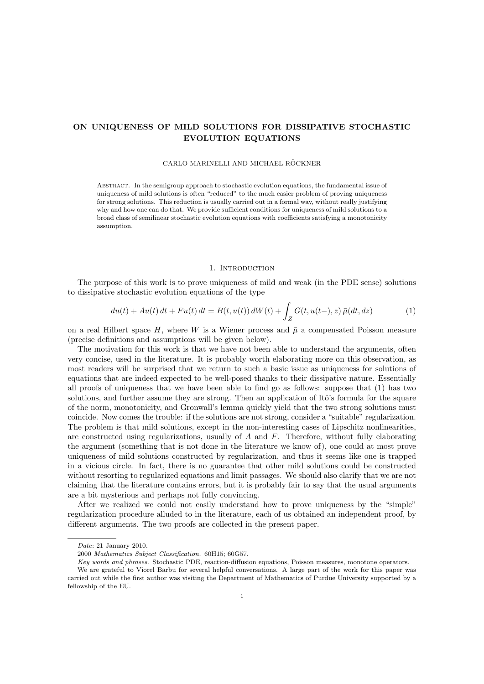# ON UNIQUENESS OF MILD SOLUTIONS FOR DISSIPATIVE STOCHASTIC EVOLUTION EQUATIONS

# CARLO MARINELLI AND MICHAEL RÖCKNER

Abstract. In the semigroup approach to stochastic evolution equations, the fundamental issue of uniqueness of mild solutions is often "reduced" to the much easier problem of proving uniqueness for strong solutions. This reduction is usually carried out in a formal way, without really justifying why and how one can do that. We provide sufficient conditions for uniqueness of mild solutions to a broad class of semilinear stochastic evolution equations with coefficients satisfying a monotonicity assumption.

#### 1. INTRODUCTION

The purpose of this work is to prove uniqueness of mild and weak (in the PDE sense) solutions to dissipative stochastic evolution equations of the type

$$
du(t) + Au(t) dt + Fu(t) dt = B(t, u(t)) dW(t) + \int_Z G(t, u(t-), z) \bar{\mu}(dt, dz)
$$
 (1)

on a real Hilbert space H, where W is a Wiener process and  $\bar{\mu}$  a compensated Poisson measure (precise definitions and assumptions will be given below).

The motivation for this work is that we have not been able to understand the arguments, often very concise, used in the literature. It is probably worth elaborating more on this observation, as most readers will be surprised that we return to such a basic issue as uniqueness for solutions of equations that are indeed expected to be well-posed thanks to their dissipative nature. Essentially all proofs of uniqueness that we have been able to find go as follows: suppose that (1) has two solutions, and further assume they are strong. Then an application of Itô's formula for the square of the norm, monotonicity, and Gronwall's lemma quickly yield that the two strong solutions must coincide. Now comes the trouble: if the solutions are not strong, consider a "suitable" regularization. The problem is that mild solutions, except in the non-interesting cases of Lipschitz nonlinearities, are constructed using regularizations, usually of  $A$  and  $F$ . Therefore, without fully elaborating the argument (something that is not done in the literature we know of), one could at most prove uniqueness of mild solutions constructed by regularization, and thus it seems like one is trapped in a vicious circle. In fact, there is no guarantee that other mild solutions could be constructed without resorting to regularized equations and limit passages. We should also clarify that we are not claiming that the literature contains errors, but it is probably fair to say that the usual arguments are a bit mysterious and perhaps not fully convincing.

After we realized we could not easily understand how to prove uniqueness by the "simple" regularization procedure alluded to in the literature, each of us obtained an independent proof, by different arguments. The two proofs are collected in the present paper.

Date: 21 January 2010.

<sup>2000</sup> Mathematics Subject Classification. 60H15; 60G57.

Key words and phrases. Stochastic PDE, reaction-diffusion equations, Poisson measures, monotone operators.

We are grateful to Viorel Barbu for several helpful conversations. A large part of the work for this paper was carried out while the first author was visiting the Department of Mathematics of Purdue University supported by a fellowship of the EU.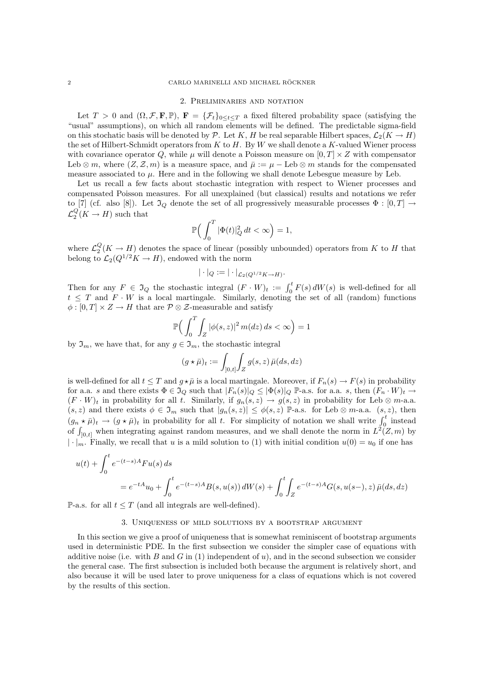#### 2. Preliminaries and notation

Let  $T > 0$  and  $(\Omega, \mathcal{F}, \mathbf{F}, \mathbb{P})$ ,  $\mathbf{F} = {\{\mathcal{F}_t\}_{0 \leq t \leq T}}$  a fixed filtered probability space (satisfying the "usual" assumptions), on which all random elements will be defined. The predictable sigma-field on this stochatic basis will be denoted by P. Let K, H be real separable Hilbert spaces,  $\mathcal{L}_2(K \to H)$ the set of Hilbert-Schmidt operators from  $K$  to  $H$ . By  $W$  we shall denote a  $K$ -valued Wiener process with covariance operator Q, while  $\mu$  will denote a Poisson measure on  $[0, T] \times Z$  with compensator Leb ⊗ m, where  $(Z, \mathcal{Z}, m)$  is a measure space, and  $\overline{\mu} := \mu - \text{Leb} \otimes m$  stands for the compensated measure associated to  $\mu$ . Here and in the following we shall denote Lebesgue measure by Leb.

Let us recall a few facts about stochastic integration with respect to Wiener processes and compensated Poisson measures. For all unexplained (but classical) results and notations we refer to [7] (cf. also [8]). Let  $\mathfrak{I}_Q$  denote the set of all progressively measurable processes  $\Phi : [0, T] \rightarrow$  $\mathcal{L}_2^Q(K \to H)$  such that

$$
\mathbb{P}\Big(\int_0^T |\Phi(t)|_Q^2 dt < \infty\Big) = 1,
$$

where  $\mathcal{L}_2^Q(K \to H)$  denotes the space of linear (possibly unbounded) operators from K to H that belong to  $\mathcal{L}_2(Q^{1/2}K \to H)$ , endowed with the norm

$$
|\cdot|_Q:=|\cdot|_{\mathcal{L}_2(Q^{1/2}K\to H)}.
$$

Then for any  $F \in \mathfrak{I}_Q$  the stochastic integral  $(F \cdot W)_t := \int_0^t F(s) dW(s)$  is well-defined for all  $t \leq T$  and  $F \cdot W$  is a local martingale. Similarly, denoting the set of all (random) functions  $\phi : [0, T] \times Z \to H$  that are  $\mathcal{P} \otimes \mathcal{Z}$ -measurable and satisfy

$$
\mathbb{P}\Big(\int_0^T\int_Z|\phi(s,z)|^2\,m(dz)\,ds<\infty\Big)=1
$$

by  $\mathfrak{I}_m$ , we have that, for any  $g \in \mathfrak{I}_m$ , the stochastic integral

$$
(g \star \bar{\mu})_t := \int_{[0,t]} \int_Z g(s,z) \, \bar{\mu}(ds,dz)
$$

is well-defined for all  $t \leq T$  and  $g \star \bar{\mu}$  is a local martingale. Moreover, if  $F_n(s) \to F(s)$  in probability for a.a. s and there exists  $\Phi \in \mathfrak{I}_Q$  such that  $|F_n(s)|_Q \leq |\Phi(s)|_Q$  P-a.s. for a.a. s, then  $(F_n \cdot W)_t \to$  $(F \cdot W)_t$  in probability for all t. Similarly, if  $g_n(s, z) \to g(s, z)$  in probability for Leb  $\otimes$  m-a.a.  $(s, z)$  and there exists  $\phi \in \mathfrak{I}_m$  such that  $|g_n(s, z)| \leq \phi(s, z)$  P-a.s. for Leb  $\otimes$  m-a.a.  $(s, z)$ , then  $(g_n \star \bar{\mu})_t \to (g \star \bar{\mu})_t$  in probability for all t. For simplicity of notation we shall write  $\int_0^t$  instead of  $\int_{[0,t]}$  when integrating against random measures, and we shall denote the norm in  $L^2(Z,m)$  by  $|\cdot|_m$ . Finally, we recall that u is a mild solution to (1) with initial condition  $u(0) = u_0$  if one has

$$
u(t) + \int_0^t e^{-(t-s)A} Fu(s) ds
$$
  
=  $e^{-tA}u_0 + \int_0^t e^{-(t-s)A} B(s, u(s)) dW(s) + \int_0^t \int_Z e^{-(t-s)A} G(s, u(s-), z) \bar{\mu}(ds, dz)$ 

P-a.s. for all  $t \leq T$  (and all integrals are well-defined).

## 3. Uniqueness of mild solutions by a bootstrap argument

In this section we give a proof of uniqueness that is somewhat reminiscent of bootstrap arguments used in deterministic PDE. In the first subsection we consider the simpler case of equations with additive noise (i.e. with B and G in  $(1)$  independent of u), and in the second subsection we consider the general case. The first subsection is included both because the argument is relatively short, and also because it will be used later to prove uniqueness for a class of equations which is not covered by the results of this section.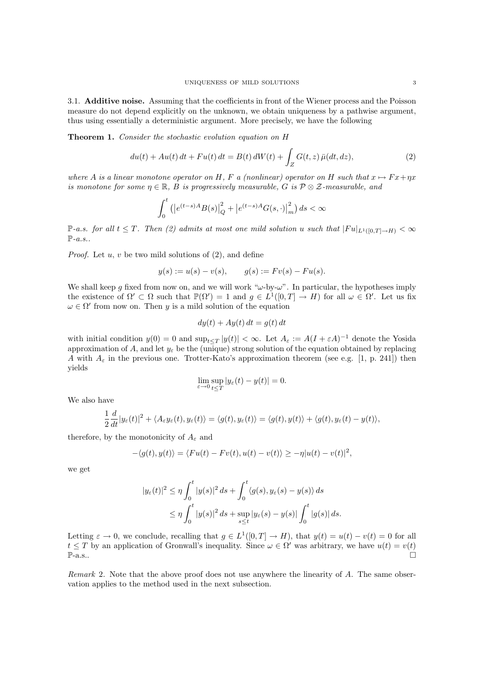3.1. Additive noise. Assuming that the coefficients in front of the Wiener process and the Poisson measure do not depend explicitly on the unknown, we obtain uniqueness by a pathwise argument, thus using essentially a deterministic argument. More precisely, we have the following

Theorem 1. Consider the stochastic evolution equation on H

$$
du(t) + Au(t) dt + Fu(t) dt = B(t) dW(t) + \int_{Z} G(t, z) \bar{\mu}(dt, dz),
$$
\n(2)

where A is a linear monotone operator on H, F a (nonlinear) operator on H such that  $x \mapsto F x + \eta x$ is monotone for some  $\eta \in \mathbb{R}$ , B is progressively measurable, G is  $\mathcal{P} \otimes \mathcal{Z}$ -measurable, and

$$
\int_0^t (|e^{(t-s)A}B(s)|_Q^2 + |e^{(t-s)A}G(s, \cdot)|_m^2) ds < \infty
$$

P-a.s. for all  $t \leq T$ . Then (2) admits at most one mild solution u such that  $|Fu|_{L^1([0,T]\to H)} < \infty$  $\mathbb{P}\text{-}a.s.$ .

*Proof.* Let  $u, v$  be two mild solutions of  $(2)$ , and define

$$
y(s) := u(s) - v(s), \qquad g(s) := Fv(s) - Fu(s).
$$

We shall keep g fixed from now on, and we will work " $\omega$ -by- $\omega$ ". In particular, the hypotheses imply the existence of  $\Omega' \subset \Omega$  such that  $\mathbb{P}(\Omega') = 1$  and  $g \in L^1([0, T] \to H)$  for all  $\omega \in \Omega'$ . Let us fix  $\omega \in \Omega'$  from now on. Then y is a mild solution of the equation

$$
dy(t) + Ay(t) dt = g(t) dt
$$

with initial condition  $y(0) = 0$  and  $\sup_{t \leq T} |y(t)| < \infty$ . Let  $A_{\varepsilon} := A(I + \varepsilon A)^{-1}$  denote the Yosida approximation of A, and let  $y_{\varepsilon}$  be the (unique) strong solution of the equation obtained by replacing A with  $A_{\varepsilon}$  in the previous one. Trotter-Kato's approximation theorem (see e.g. [1, p. 241]) then yields

$$
\lim_{\varepsilon \to 0} \sup_{t \le T} |y_{\varepsilon}(t) - y(t)| = 0.
$$

We also have

$$
\frac{1}{2}\frac{d}{dt}|y_{\varepsilon}(t)|^2 + \langle A_{\varepsilon}y_{\varepsilon}(t), y_{\varepsilon}(t)\rangle = \langle g(t), y_{\varepsilon}(t)\rangle = \langle g(t), y(t)\rangle + \langle g(t), y_{\varepsilon}(t) - y(t)\rangle,
$$

therefore, by the monotonicity of  $A_{\varepsilon}$  and

$$
-\langle g(t), y(t) \rangle = \langle Fu(t) - Fv(t), u(t) - v(t) \rangle \ge -\eta |u(t) - v(t)|^2,
$$

we get

$$
|y_{\varepsilon}(t)|^2 \le \eta \int_0^t |y(s)|^2 ds + \int_0^t \langle g(s), y_{\varepsilon}(s) - y(s) \rangle ds
$$
  

$$
\le \eta \int_0^t |y(s)|^2 ds + \sup_{s \le t} |y_{\varepsilon}(s) - y(s)| \int_0^t |g(s)| ds.
$$

Letting  $\varepsilon \to 0$ , we conclude, recalling that  $g \in L^1([0,T] \to H)$ , that  $y(t) = u(t) - v(t) = 0$  for all  $t \leq T$  by an application of Gronwall's inequality. Since  $\omega \in \Omega'$  was arbitrary, we have  $u(t) = v(t)$  $\mathbb{P}\text{-a.s.}$ .

Remark 2. Note that the above proof does not use anywhere the linearity of A. The same observation applies to the method used in the next subsection.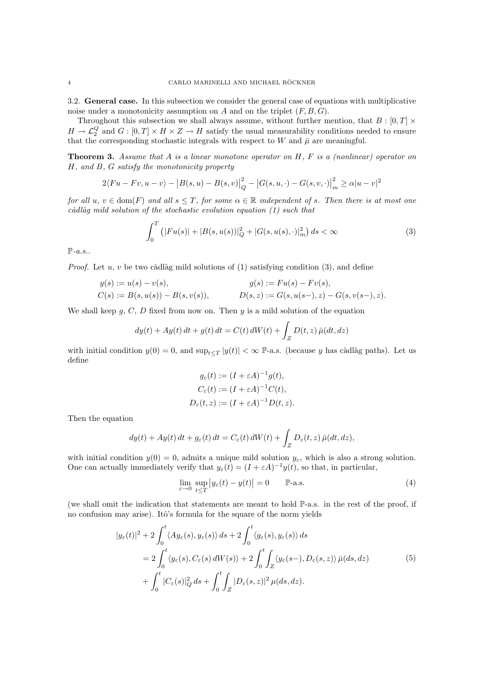3.2. General case. In this subsection we consider the general case of equations with multiplicative noise under a monotonicity assumption on  $A$  and on the triplet  $(F, B, G)$ .

Throughout this subsection we shall always assume, without further mention, that  $B:[0,T]\times$  $H \to \mathcal{L}_2^Q$  and  $G : [0, T] \times H \times Z \to H$  satisfy the usual measurability conditions needed to ensure that the corresponding stochastic integrals with respect to W and  $\bar{\mu}$  are meaningful.

**Theorem 3.** Assume that A is a linear monotone operator on  $H$ ,  $F$  is a (nonlinear) operator on H, and B, G satisfy the monotonicity property

$$
2\langle Fu - Fv, u - v \rangle - |B(s, u) - B(s, v)|_Q^2 - |G(s, u, \cdot) - G(s, v, \cdot)|_m^2 \ge \alpha |u - v|^2
$$

for all  $u, v \in \text{dom}(F)$  and all  $s \leq T$ , for some  $\alpha \in \mathbb{R}$  independent of s. Then there is at most one  $c\`{a}dl\`{a}q$  mild solution of the stochastic evolution equation (1) such that

$$
\int_0^T \left( |Fu(s)| + |B(s, u(s))|_Q^2 + |G(s, u(s), \cdot)|_m^2 \right) ds < \infty \tag{3}
$$

 $\mathbb{P}\text{-}a.s.$ .

*Proof.* Let  $u, v$  be two càdlàg mild solutions of (1) satisfying condition (3), and define

$$
y(s) := u(s) - v(s),
$$
  
\n
$$
G(s) := B(s, u(s)) - B(s, v(s)),
$$
  
\n
$$
g(s) := Fu(s) - Fv(s),
$$
  
\n
$$
D(s, z) := G(s, u(s-, z) - G(s, v(s-, z)).
$$

We shall keep  $g, C, D$  fixed from now on. Then  $y$  is a mild solution of the equation

$$
dy(t) + Ay(t) dt + g(t) dt = C(t) dW(t) + \int_Z D(t, z) \bar{\mu}(dt, dz)
$$

with initial condition  $y(0) = 0$ , and  $\sup_{t \leq T} |y(t)| < \infty$  P-a.s. (because y has càdlàg paths). Let us define

$$
g_{\varepsilon}(t) := (I + \varepsilon A)^{-1} g(t),
$$
  
\n
$$
C_{\varepsilon}(t) := (I + \varepsilon A)^{-1} C(t),
$$
  
\n
$$
D_{\varepsilon}(t, z) := (I + \varepsilon A)^{-1} D(t, z).
$$

Then the equation

$$
dy(t) + Ay(t) dt + g_{\varepsilon}(t) dt = C_{\varepsilon}(t) dW(t) + \int_{Z} D_{\varepsilon}(t, z) \bar{\mu}(dt, dz),
$$

with initial condition  $y(0) = 0$ , admits a unique mild solution  $y_{\varepsilon}$ , which is also a strong solution. One can actually immediately verify that  $y_{\varepsilon}(t) = (I + \varepsilon A)^{-1} y(t)$ , so that, in particular,

$$
\lim_{\varepsilon \to 0} \sup_{t \le T} |y_{\varepsilon}(t) - y(t)| = 0 \qquad \mathbb{P}\text{-a.s.} \tag{4}
$$

(we shall omit the indication that statements are meant to hold P-a.s. in the rest of the proof, if no confusion may arise). Itô's formula for the square of the norm yields

$$
|y_{\varepsilon}(t)|^{2} + 2 \int_{0}^{t} \langle Ay_{\varepsilon}(s), y_{\varepsilon}(s) \rangle ds + 2 \int_{0}^{t} \langle g_{\varepsilon}(s), y_{\varepsilon}(s) \rangle ds
$$
  

$$
= 2 \int_{0}^{t} \langle y_{\varepsilon}(s), C_{\varepsilon}(s) dW(s) \rangle + 2 \int_{0}^{t} \int_{Z} \langle y_{\varepsilon}(s-), D_{\varepsilon}(s, z) \rangle \bar{\mu}(ds, dz)
$$
  

$$
+ \int_{0}^{t} |C_{\varepsilon}(s)|^{2}_{Q} ds + \int_{0}^{t} \int_{Z} |D_{\varepsilon}(s, z)|^{2} \mu(ds, dz).
$$
 (5)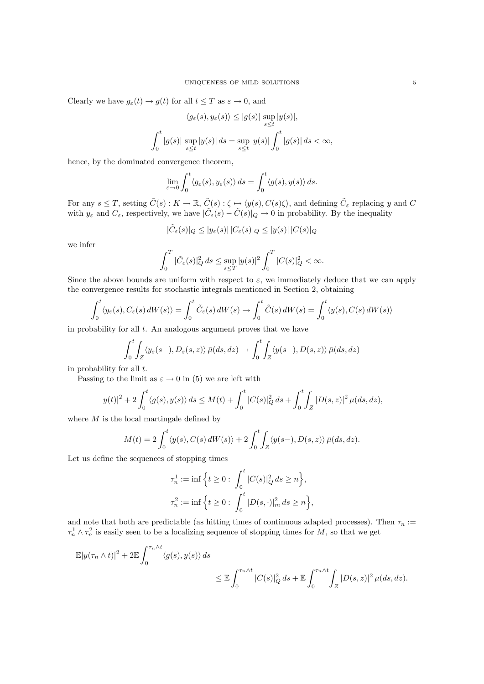Clearly we have  $g_{\varepsilon}(t) \to g(t)$  for all  $t \leq T$  as  $\varepsilon \to 0$ , and

$$
\langle g_{\varepsilon}(s), y_{\varepsilon}(s) \rangle \le |g(s)| \sup_{s \le t} |y(s)|,
$$
  

$$
\int_0^t |g(s)| \sup_{s \le t} |y(s)| ds = \sup_{s \le t} |y(s)| \int_0^t |g(s)| ds < \infty,
$$

hence, by the dominated convergence theorem,

$$
\lim_{\varepsilon \to 0} \int_0^t \langle g_\varepsilon(s), y_\varepsilon(s) \rangle ds = \int_0^t \langle g(s), y(s) \rangle ds.
$$

For any  $s \leq T$ , setting  $\tilde{C}(s) : K \to \mathbb{R}$ ,  $\tilde{C}(s) : \zeta \mapsto \langle y(s), C(s)\zeta \rangle$ , and defining  $\tilde{C}_{\varepsilon}$  replacing y and C with  $y_{\varepsilon}$  and  $C_{\varepsilon}$ , respectively, we have  $|\tilde{C}_{\varepsilon}(s) - \tilde{C}(s)|_Q \to 0$  in probability. By the inequality

$$
|\tilde C_\varepsilon(s)|_Q\le |y_\varepsilon(s)|\,|C_\varepsilon(s)|_Q\le |y(s)|\,|C(s)|_Q
$$

we infer

$$
\int_0^T |\tilde{C}_{\varepsilon}(s)|_Q^2 ds \le \sup_{s \le T} |y(s)|^2 \int_0^T |C(s)|_Q^2 < \infty.
$$

Since the above bounds are uniform with respect to  $\varepsilon$ , we immediately deduce that we can apply the convergence results for stochastic integrals mentioned in Section 2, obtaining

$$
\int_0^t \langle y_\varepsilon(s), C_\varepsilon(s) dW(s) \rangle = \int_0^t \tilde{C}_\varepsilon(s) dW(s) \to \int_0^t \tilde{C}(s) dW(s) = \int_0^t \langle y(s), C(s) dW(s) \rangle
$$

in probability for all  $t$ . An analogous argument proves that we have

$$
\int_0^t \int_Z \langle y_\varepsilon(s-), D_\varepsilon(s, z) \rangle \, \bar{\mu}(ds, dz) \to \int_0^t \int_Z \langle y(s-), D(s, z) \rangle \, \bar{\mu}(ds, dz)
$$

in probability for all  $t$ .

Passing to the limit as  $\varepsilon \to 0$  in (5) we are left with

$$
|y(t)|^2 + 2\int_0^t \langle g(s), y(s) \rangle ds \le M(t) + \int_0^t |C(s)|_Q^2 ds + \int_0^t \int_Z |D(s, z)|^2 \mu(ds, dz),
$$

where  $M$  is the local martingale defined by

$$
M(t) = 2 \int_0^t \langle y(s), C(s) dW(s) \rangle + 2 \int_0^t \int_Z \langle y(s-), D(s, z) \rangle \bar{\mu}(ds, dz).
$$

Let us define the sequences of stopping times

$$
\tau_n^1 := \inf \Big\{ t \ge 0 : \int_0^t |C(s)|_Q^2 ds \ge n \Big\},\
$$
  

$$
\tau_n^2 := \inf \Big\{ t \ge 0 : \int_0^t |D(s, \cdot)|_m^2 ds \ge n \Big\},\
$$

and note that both are predictable (as hitting times of continuous adapted processes). Then  $\tau_n :=$  $\tau_n^1 \wedge \tau_n^2$  is easily seen to be a localizing sequence of stopping times for M, so that we get

$$
\mathbb{E}|y(\tau_n \wedge t)|^2 + 2 \mathbb{E} \int_0^{\tau_n \wedge t} \langle g(s), y(s) \rangle ds
$$
  

$$
\leq \mathbb{E} \int_0^{\tau_n \wedge t} |C(s)|^2_Q ds + \mathbb{E} \int_0^{\tau_n \wedge t} \int_Z |D(s, z)|^2 \mu(ds, dz).
$$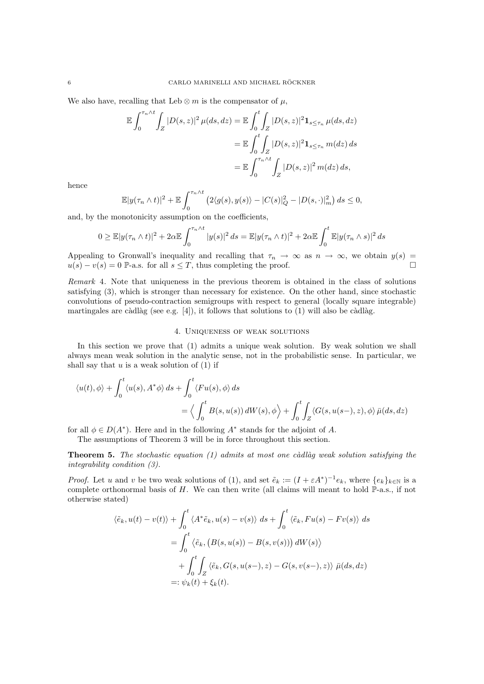We also have, recalling that Leb  $\otimes m$  is the compensator of  $\mu$ ,

$$
\mathbb{E} \int_0^{\tau_n \wedge t} \int_Z |D(s,z)|^2 \,\mu(ds,dz) = \mathbb{E} \int_0^t \int_Z |D(s,z)|^2 \mathbf{1}_{s \le \tau_n} \,\mu(ds,dz)
$$

$$
= \mathbb{E} \int_0^t \int_Z |D(s,z)|^2 \mathbf{1}_{s \le \tau_n} \,m(dz) \,ds
$$

$$
= \mathbb{E} \int_0^{\tau_n \wedge t} \int_Z |D(s,z)|^2 \,m(dz) \,ds,
$$

hence

$$
\mathbb{E}|y(\tau_n \wedge t)|^2 + \mathbb{E}\int_0^{\tau_n \wedge t} \left(2\langle g(s), y(s)\rangle - |C(s)|_Q^2 - |D(s, \cdot)|_m^2\right) ds \le 0,
$$

and, by the monotonicity assumption on the coefficients,

$$
0 \geq \mathbb{E}|y(\tau_n \wedge t)|^2 + 2\alpha \mathbb{E} \int_0^{\tau_n \wedge t} |y(s)|^2 ds = \mathbb{E}|y(\tau_n \wedge t)|^2 + 2\alpha \mathbb{E} \int_0^t \mathbb{E}|y(\tau_n \wedge s)|^2 ds
$$

Appealing to Gronwall's inequality and recalling that  $\tau_n \to \infty$  as  $n \to \infty$ , we obtain  $y(s) =$  $u(s) - v(s) = 0$  P-a.s. for all  $s \leq T$ , thus completing the proof.

Remark 4. Note that uniqueness in the previous theorem is obtained in the class of solutions satisfying (3), which is stronger than necessary for existence. On the other hand, since stochastic convolutions of pseudo-contraction semigroups with respect to general (locally square integrable) martingales are càdlàg (see e.g.  $[4]$ ), it follows that solutions to  $(1)$  will also be càdlàg.

## 4. Uniqueness of weak solutions

In this section we prove that (1) admits a unique weak solution. By weak solution we shall always mean weak solution in the analytic sense, not in the probabilistic sense. In particular, we shall say that  $u$  is a weak solution of  $(1)$  if

$$
\langle u(t), \phi \rangle + \int_0^t \langle u(s), A^* \phi \rangle ds + \int_0^t \langle Fu(s), \phi \rangle ds
$$
  
=  $\langle \int_0^t B(s, u(s)) dW(s), \phi \rangle + \int_0^t \int_Z \langle G(s, u(s-), z), \phi \rangle \bar{\mu}(ds, dz)$ 

for all  $\phi \in D(A^*)$ . Here and in the following  $A^*$  stands for the adjoint of A.

The assumptions of Theorem 3 will be in force throughout this section.

**Theorem 5.** The stochastic equation (1) admits at most one càdlàg weak solution satisfying the integrability condition (3).

*Proof.* Let u and v be two weak solutions of (1), and set  $\tilde{e}_k := (I + \varepsilon A^*)^{-1} e_k$ , where  $\{e_k\}_{k \in \mathbb{N}}$  is a complete orthonormal basis of  $H$ . We can then write (all claims will meant to hold  $\mathbb{P}\text{-a.s.}$ , if not otherwise stated)

$$
\langle \tilde{e}_k, u(t) - v(t) \rangle + \int_0^t \langle A^* \tilde{e}_k, u(s) - v(s) \rangle \, ds + \int_0^t \langle \tilde{e}_k, Fu(s) - Fv(s) \rangle \, ds
$$
  
= 
$$
\int_0^t \langle \tilde{e}_k, (B(s, u(s)) - B(s, v(s))) dW(s) \rangle
$$
  
+ 
$$
\int_0^t \int_Z \langle \tilde{e}_k, G(s, u(s-), z) - G(s, v(s-), z) \rangle \bar{\mu}(ds, dz)
$$
  
=: 
$$
\psi_k(t) + \xi_k(t).
$$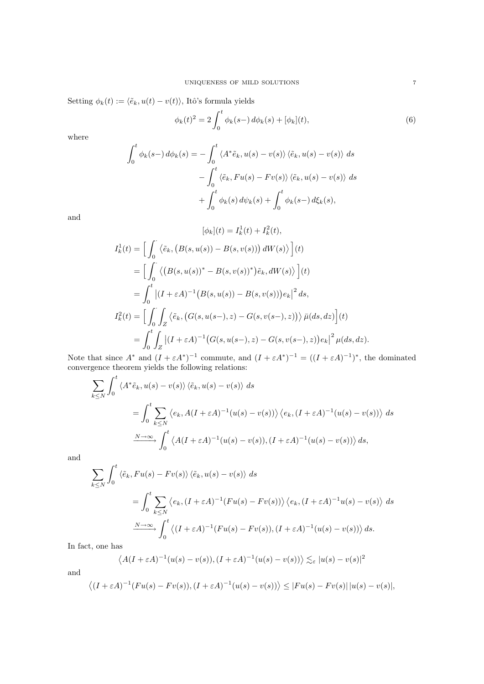Setting  $\phi_k(t) := \langle \tilde{e}_k, u(t) - v(t) \rangle$ , Itô's formula yields

$$
\phi_k(t)^2 = 2 \int_0^t \phi_k(s-) \, d\phi_k(s) + [\phi_k](t),\tag{6}
$$

where

$$
\int_0^t \phi_k(s-) d\phi_k(s) = -\int_0^t \langle A^* \tilde{e}_k, u(s) - v(s) \rangle \langle \tilde{e}_k, u(s) - v(s) \rangle ds \n- \int_0^t \langle \tilde{e}_k, Fu(s) - Fv(s) \rangle \langle \tilde{e}_k, u(s) - v(s) \rangle ds \n+ \int_0^t \phi_k(s) d\psi_k(s) + \int_0^t \phi_k(s-) d\xi_k(s),
$$

and

$$
[\phi_k](t) = I_k^1(t) + I_k^2(t),
$$
  
\n
$$
I_k^1(t) = \left[ \int_0^t \langle \tilde{e}_k, (B(s, u(s)) - B(s, v(s))) dW(s) \rangle \right](t)
$$
  
\n
$$
= \left[ \int_0^t \langle (B(s, u(s))^* - B(s, v(s))^*) \tilde{e}_k, dW(s) \rangle \right](t)
$$
  
\n
$$
= \int_0^t |(I + \varepsilon A)^{-1} (B(s, u(s)) - B(s, v(s))) e_k|^2 ds,
$$
  
\n
$$
I_k^2(t) = \left[ \int_0^t \int_Z \langle \tilde{e}_k, (G(s, u(s-), z) - G(s, v(s-), z)) \rangle \bar{\mu}(ds, dz) \right](t)
$$
  
\n
$$
= \int_0^t \int_Z |(I + \varepsilon A)^{-1} (G(s, u(s-), z) - G(s, v(s-), z)) e_k|^2 \mu(ds, dz).
$$

Note that since  $A^*$  and  $(I + \varepsilon A^*)^{-1}$  commute, and  $(I + \varepsilon A^*)^{-1} = ((I + \varepsilon A)^{-1})^*$ , the dominated convergence theorem yields the following relations:

$$
\sum_{k \le N} \int_0^t \langle A^* \tilde{e}_k, u(s) - v(s) \rangle \langle \tilde{e}_k, u(s) - v(s) \rangle ds
$$
  
= 
$$
\int_0^t \sum_{k \le N} \langle e_k, A(I + \varepsilon A)^{-1} (u(s) - v(s)) \rangle \langle e_k, (I + \varepsilon A)^{-1} (u(s) - v(s)) \rangle ds
$$
  

$$
\xrightarrow{N \to \infty} \int_0^t \langle A(I + \varepsilon A)^{-1} (u(s) - v(s)), (I + \varepsilon A)^{-1} (u(s) - v(s)) \rangle ds,
$$

and

$$
\sum_{k \le N} \int_0^t \langle \tilde{e}_k, Fu(s) - Fv(s) \rangle \langle \tilde{e}_k, u(s) - v(s) \rangle ds
$$
  
= 
$$
\int_0^t \sum_{k \le N} \langle e_k, (I + \varepsilon A)^{-1} (Fu(s) - Fv(s)) \rangle \langle e_k, (I + \varepsilon A)^{-1} u(s) - v(s) \rangle ds
$$
  

$$
\xrightarrow{N \to \infty} \int_0^t \langle (I + \varepsilon A)^{-1} (Fu(s) - Fv(s)), (I + \varepsilon A)^{-1} (u(s) - v(s)) \rangle ds.
$$

In fact, one has

$$
\langle A(I+\varepsilon A)^{-1}(u(s)-v(s)), (I+\varepsilon A)^{-1}(u(s)-v(s))\rangle \lesssim_{\varepsilon} |u(s)-v(s)|^2
$$

and

$$
\langle (I+\varepsilon A)^{-1}(Fu(s)-Fv(s)),(I+\varepsilon A)^{-1}(u(s)-v(s))\rangle\leq |Fu(s)-Fv(s)||u(s)-v(s)|,
$$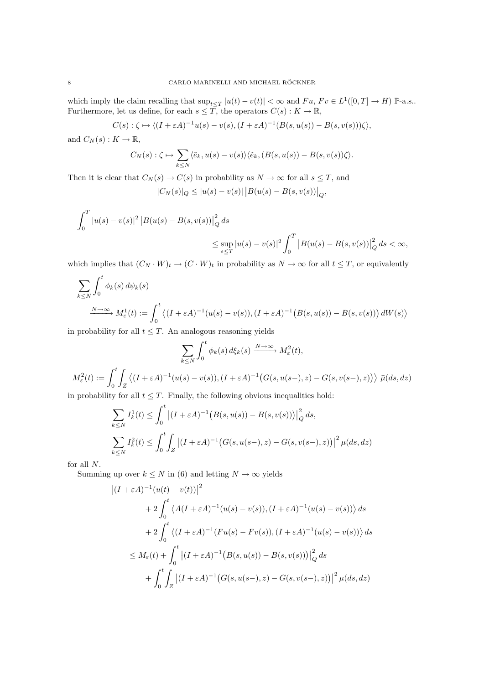which imply the claim recalling that  $\sup_{t\leq T}|u(t)-v(t)|<\infty$  and  $Fu$ ,  $Fv\in L^1([0,T]\to H)$  P-a.s.. Furthermore, let us define, for each  $s \leq \overline{T}$ , the operators  $C(s) : K \to \mathbb{R}$ ,

 $C(s): \zeta \mapsto \langle (I + \varepsilon A)^{-1}u(s) - v(s), (I + \varepsilon A)^{-1}(B(s, u(s)) - B(s, v(s)))\zeta \rangle,$ 

and  $C_N(s) : K \to \mathbb{R}$ ,

$$
C_N(s): \zeta \mapsto \sum_{k \leq N} \langle \tilde{e}_k, u(s) - v(s) \rangle \langle \tilde{e}_k, (B(s, u(s)) - B(s, v(s)) \zeta \rangle.
$$

Then it is clear that  $C_N(s) \to C(s)$  in probability as  $N \to \infty$  for all  $s \leq T$ , and

$$
|C_N(s)|_Q \le |u(s) - v(s)| |B(u(s) - B(s, v(s))|_Q,
$$

$$
\int_0^T |u(s) - v(s)|^2 |B(u(s) - B(s, v(s))|_{Q}^2 ds
$$
  

$$
\leq \sup_{s \leq T} |u(s) - v(s)|^2 \int_0^T |B(u(s) - B(s, v(s))|_{Q}^2 ds < \infty,
$$

which implies that  $(C_N \cdot W)_t \to (C \cdot W)_t$  in probability as  $N \to \infty$  for all  $t \leq T$ , or equivalently

$$
\sum_{k \le N} \int_0^t \phi_k(s) d\psi_k(s)
$$
  

$$
\xrightarrow{N \to \infty} M_\varepsilon^1(t) := \int_0^t \langle (I + \varepsilon A)^{-1} (u(s) - v(s)), (I + \varepsilon A)^{-1} (B(s, u(s)) - B(s, v(s))) dW(s) \rangle
$$

in probability for all  $t \leq T$ . An analogous reasoning yields

$$
\sum_{k \le N} \int_0^t \phi_k(s) d\xi_k(s) \xrightarrow{N \to \infty} M_\varepsilon^2(t),
$$
  

$$
M_\varepsilon^2(t) := \int_0^t \int_Z \left\langle (I + \varepsilon A)^{-1} (u(s) - v(s)), (I + \varepsilon A)^{-1} (G(s, u(s-), z) - G(s, v(s-), z)) \right\rangle \bar{\mu}(ds, dz)
$$

in probability for all  $t \leq T$ . Finally, the following obvious inequalities hold:

$$
\sum_{k \le N} I_k^1(t) \le \int_0^t \left| (I + \varepsilon A)^{-1} \left( B(s, u(s)) - B(s, v(s)) \right) \right|_Q^2 ds,
$$
  

$$
\sum_{k \le N} I_k^2(t) \le \int_0^t \int_Z \left| (I + \varepsilon A)^{-1} \left( G(s, u(s-), z) - G(s, v(s-), z) \right) \right|^2 \mu(ds, dz)
$$

for all N.

Summing up over  $k \leq N$  in (6) and letting  $N \to \infty$  yields

$$
\begin{aligned} \left| (I + \varepsilon A)^{-1} (u(t) - v(t)) \right|^2 \\ &+ 2 \int_0^t \left\langle A(I + \varepsilon A)^{-1} (u(s) - v(s)), (I + \varepsilon A)^{-1} (u(s) - v(s)) \right\rangle ds \\ &+ 2 \int_0^t \left\langle (I + \varepsilon A)^{-1} (Fu(s) - Fv(s)), (I + \varepsilon A)^{-1} (u(s) - v(s)) \right\rangle ds \\ &\le M_\varepsilon(t) + \int_0^t \left| (I + \varepsilon A)^{-1} (B(s, u(s)) - B(s, v(s))) \right|_Q^2 ds \\ &+ \int_0^t \int_Z \left| (I + \varepsilon A)^{-1} (G(s, u(s-), z) - G(s, v(s-), z)) \right|^2 \mu(ds, dz) \end{aligned}
$$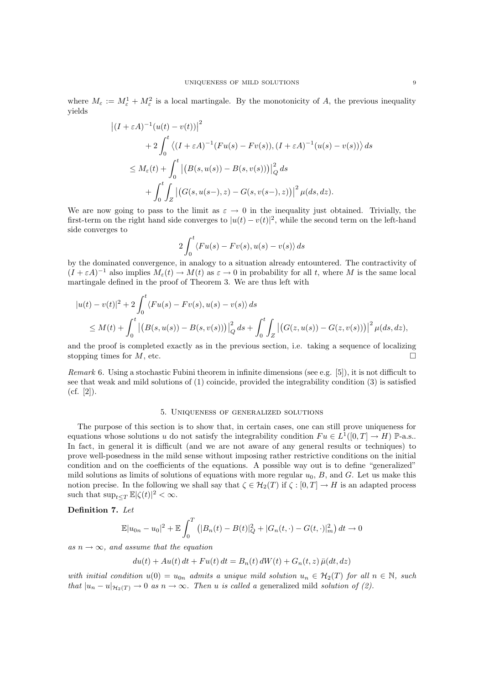where  $M_{\varepsilon} := M_{\varepsilon}^1 + M_{\varepsilon}^2$  is a local martingale. By the monotonicity of A, the previous inequality yields

$$
\begin{aligned} \left| (I + \varepsilon A)^{-1} (u(t) - v(t)) \right|^2 \\ &+ 2 \int_0^t \left\langle (I + \varepsilon A)^{-1} (Fu(s) - Fv(s)), (I + \varepsilon A)^{-1} (u(s) - v(s)) \right\rangle ds \\ &\le M_\varepsilon(t) + \int_0^t \left| \left( B(s, u(s)) - B(s, v(s)) \right) \right|_Q^2 ds \\ &+ \int_0^t \int_Z \left| \left( G(s, u(s-), z) - G(s, v(s-), z) \right) \right|^2 \mu(ds, dz). \end{aligned}
$$

We are now going to pass to the limit as  $\varepsilon \to 0$  in the inequality just obtained. Trivially, the first-term on the right hand side converges to  $|u(t) - v(t)|^2$ , while the second term on the left-hand side converges to

$$
2\int_0^t \langle Fu(s)-Fv(s),u(s)-v(s)\rangle ds
$$

by the dominated convergence, in analogy to a situation already entountered. The contractivity of  $(I + \varepsilon A)^{-1}$  also implies  $M_{\varepsilon}(t) \to M(t)$  as  $\varepsilon \to 0$  in probability for all t, where M is the same local martingale defined in the proof of Theorem 3. We are thus left with

$$
|u(t) - v(t)|^2 + 2 \int_0^t \langle Fu(s) - Fv(s), u(s) - v(s) \rangle ds
$$
  
 
$$
\leq M(t) + \int_0^t \left| \left( B(s, u(s)) - B(s, v(s)) \right) \right|_Q^2 ds + \int_0^t \int_Z \left| \left( G(z, u(s)) - G(z, v(s)) \right) \right|^2 \mu(ds, dz),
$$

and the proof is completed exactly as in the previous section, i.e. taking a sequence of localizing stopping times for M, etc.

Remark 6. Using a stochastic Fubini theorem in infinite dimensions (see e.g. [5]), it is not difficult to see that weak and mild solutions of (1) coincide, provided the integrability condition (3) is satisfied  $(cf. [2]).$ 

#### 5. Uniqueness of generalized solutions

The purpose of this section is to show that, in certain cases, one can still prove uniqueness for equations whose solutions u do not satisfy the integrability condition  $Fu \in L^1([0,T] \to H)$  P-a.s.. In fact, in general it is difficult (and we are not aware of any general results or techniques) to prove well-posedness in the mild sense without imposing rather restrictive conditions on the initial condition and on the coefficients of the equations. A possible way out is to define "generalized" mild solutions as limits of solutions of equations with more regular  $u_0$ ,  $B$ , and  $G$ . Let us make this notion precise. In the following we shall say that  $\zeta \in \mathcal{H}_2(T)$  if  $\zeta : [0, T] \to H$  is an adapted process such that  $\sup_{t\leq T} \mathbb{E} |\zeta(t)|^2 < \infty$ .

Definition 7. Let

$$
\mathbb{E}|u_{0n} - u_0|^2 + \mathbb{E}\int_0^T (|B_n(t) - B(t)|_Q^2 + |G_n(t, \cdot) - G(t, \cdot)|_m^2) dt \to 0
$$

as  $n \to \infty$ , and assume that the equation

$$
du(t) + Au(t) dt + Fu(t) dt = B_n(t) dW(t) + G_n(t, z) \bar{\mu}(dt, dz)
$$

with initial condition  $u(0) = u_{0n}$  admits a unique mild solution  $u_n \in H_2(T)$  for all  $n \in \mathbb{N}$ , such that  $|u_n - u|_{\mathcal{H}_2(T)} \to 0$  as  $n \to \infty$ . Then u is called a generalized mild solution of (2).